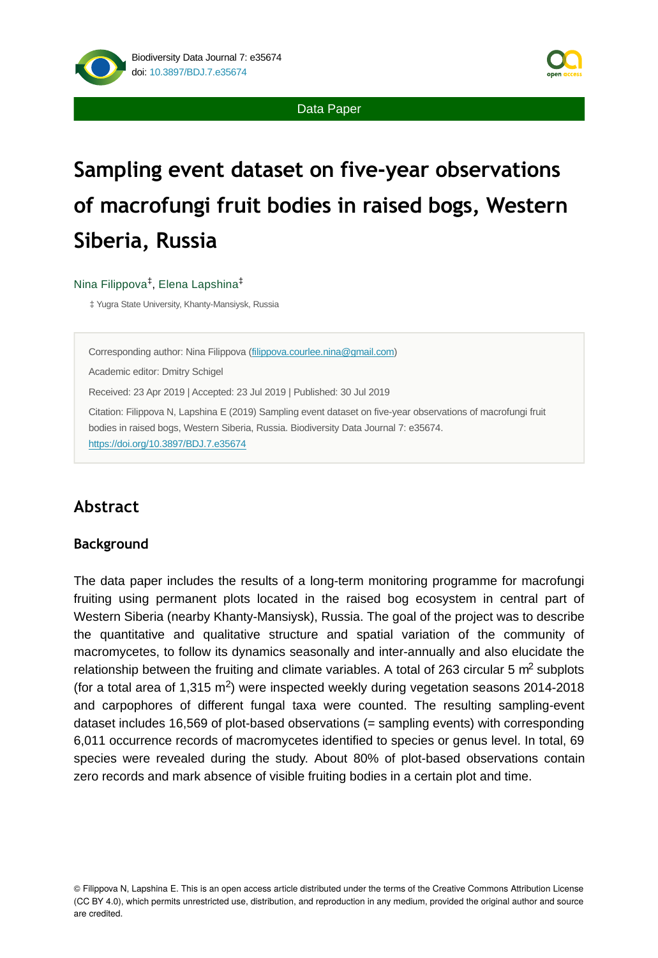

Data Paper

# **Sampling event dataset on five-year observations of macrofungi fruit bodies in raised bogs, Western Siberia, Russia**

#### Nina Filippova<sup>‡</sup>, Elena Lapshina<sup>‡</sup>

‡ Yugra State University, Khanty-Mansiysk, Russia

Corresponding author: Nina Filippova ([filippova.courlee.nina@gmail.com\)](mailto:filippova.courlee.nina@gmail.com)

Academic editor: Dmitry Schigel

Received: 23 Apr 2019 | Accepted: 23 Jul 2019 | Published: 30 Jul 2019

Citation: Filippova N, Lapshina E (2019) Sampling event dataset on five-year observations of macrofungi fruit bodies in raised bogs, Western Siberia, Russia. Biodiversity Data Journal 7: e35674. <https://doi.org/10.3897/BDJ.7.e35674>

# **Abstract**

#### **Background**

The data paper includes the results of a long-term monitoring programme for macrofungi fruiting using permanent plots located in the raised bog ecosystem in central part of Western Siberia (nearby Khanty-Mansiysk), Russia. The goal of the project was to describe the quantitative and qualitative structure and spatial variation of the community of macromycetes, to follow its dynamics seasonally and inter-annually and also elucidate the relationship between the fruiting and climate variables. A total of 263 circular 5  $m^2$  subplots (for a total area of  $1,315 \text{ m}^2$ ) were inspected weekly during vegetation seasons 2014-2018 and carpophores of different fungal taxa were counted. The resulting sampling-event dataset includes 16,569 of plot-based observations (= sampling events) with corresponding 6,011 occurrence records of macromycetes identified to species or genus level. In total, 69 species were revealed during the study. About 80% of plot-based observations contain zero records and mark absence of visible fruiting bodies in a certain plot and time.

© Filippova N, Lapshina E. This is an open access article distributed under the terms of the Creative Commons Attribution License (CC BY 4.0), which permits unrestricted use, distribution, and reproduction in any medium, provided the original author and source are credited.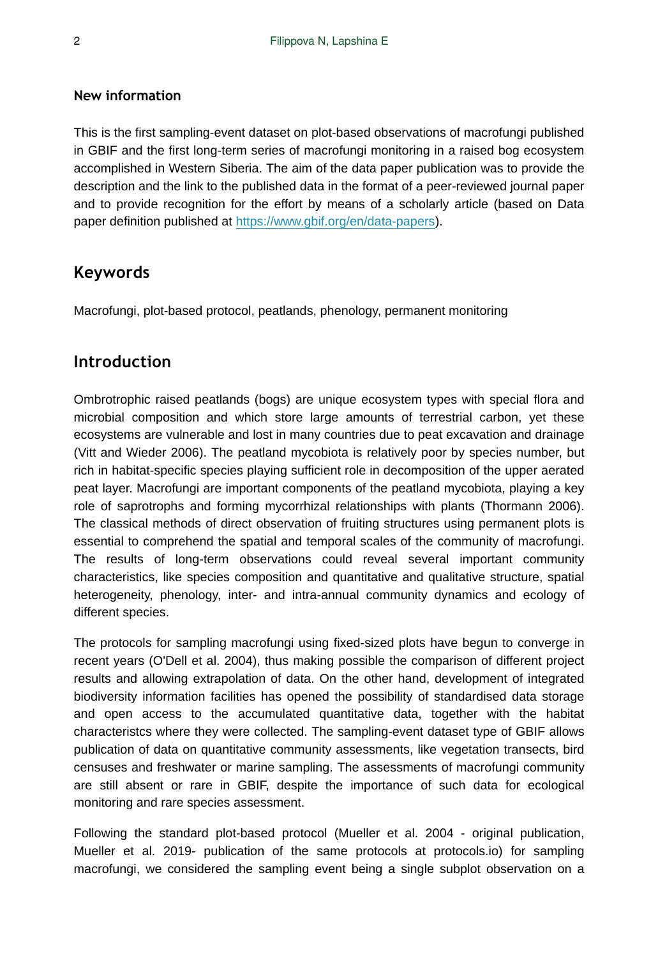#### **New information**

This is the first sampling-event dataset on plot-based observations of macrofungi published in GBIF and the first long-term series of macrofungi monitoring in a raised bog ecosystem accomplished in Western Siberia. The aim of the data paper publication was to provide the description and the link to the published data in the format of a peer-reviewed journal paper and to provide recognition for the effort by means of a scholarly article (based on Data paper definition published at <https://www.gbif.org/en/data-papers>).

# **Keywords**

Macrofungi, plot-based protocol, peatlands, phenology, permanent monitoring

# **Introduction**

Ombrotrophic raised peatlands (bogs) are unique ecosystem types with special flora and microbial composition and which store large amounts of terrestrial carbon, yet these ecosystems are vulnerable and lost in many countries due to peat excavation and drainage (Vitt and Wieder 2006). The peatland mycobiota is relatively poor by species number, but rich in habitat-specific species playing sufficient role in decomposition of the upper aerated peat layer. Macrofungi are important components of the peatland mycobiota, playing a key role of saprotrophs and forming mycorrhizal relationships with plants (Thormann 2006). The classical methods of direct observation of fruiting structures using permanent plots is essential to comprehend the spatial and temporal scales of the community of macrofungi. The results of long-term observations could reveal several important community characteristics, like species composition and quantitative and qualitative structure, spatial heterogeneity, phenology, inter- and intra-annual community dynamics and ecology of different species.

The protocols for sampling macrofungi using fixed-sized plots have begun to converge in recent years (O'Dell et al. 2004), thus making possible the comparison of different project results and allowing extrapolation of data. On the other hand, development of integrated biodiversity information facilities has opened the possibility of standardised data storage and open access to the accumulated quantitative data, together with the habitat characteristcs where they were collected. The sampling-event dataset type of GBIF allows publication of data on quantitative community assessments, like vegetation transects, bird censuses and freshwater or marine sampling. The assessments of macrofungi community are still absent or rare in GBIF, despite the importance of such data for ecological monitoring and rare species assessment.

Following the standard plot-based protocol (Mueller et al. 2004 - original publication, Mueller et al. 2019- publication of the same protocols at protocols.io) for sampling macrofungi, we considered the sampling event being a single subplot observation on a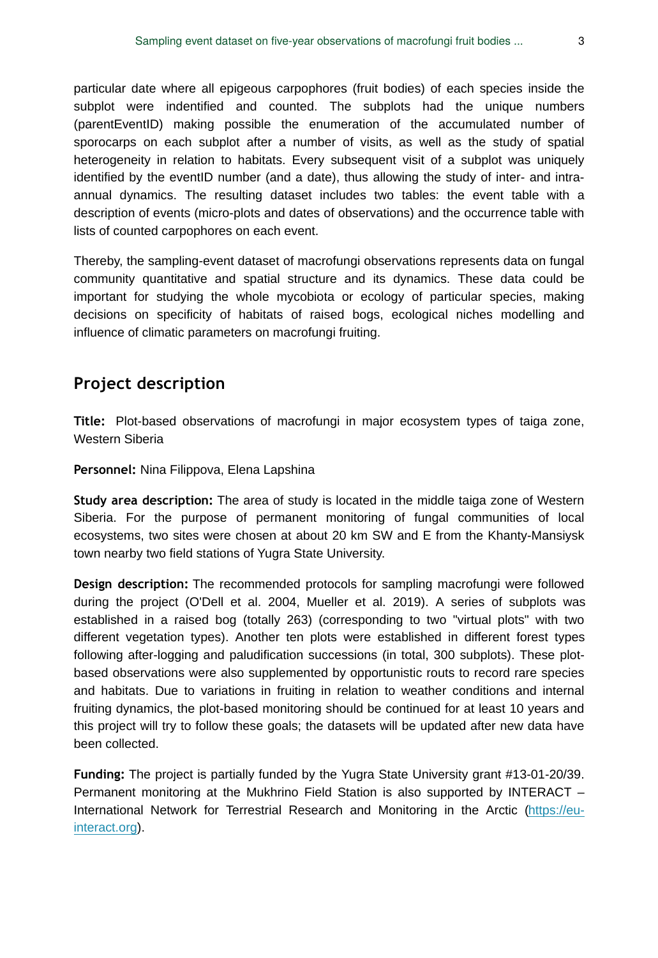particular date where all epigeous carpophores (fruit bodies) of each species inside the subplot were indentified and counted. The subplots had the unique numbers (parentEventID) making possible the enumeration of the accumulated number of sporocarps on each subplot after a number of visits, as well as the study of spatial heterogeneity in relation to habitats. Every subsequent visit of a subplot was uniquely identified by the eventID number (and a date), thus allowing the study of inter- and intraannual dynamics. The resulting dataset includes two tables: the event table with a description of events (micro-plots and dates of observations) and the occurrence table with lists of counted carpophores on each event.

Thereby, the sampling-event dataset of macrofungi observations represents data on fungal community quantitative and spatial structure and its dynamics. These data could be important for studying the whole mycobiota or ecology of particular species, making decisions on specificity of habitats of raised bogs, ecological niches modelling and influence of climatic parameters on macrofungi fruiting.

## **Project description**

**Title:** Plot-based observations of macrofungi in major ecosystem types of taiga zone, Western Siberia

**Personnel:** Nina Filippova, Elena Lapshina

**Study area description:** The area of study is located in the middle taiga zone of Western Siberia. For the purpose of permanent monitoring of fungal communities of local ecosystems, two sites were chosen at about 20 km SW and E from the Khanty-Mansiysk town nearby two field stations of Yugra State University.

**Design description:** The recommended protocols for sampling macrofungi were followed during the project (O'Dell et al. 2004, Mueller et al. 2019). A series of subplots was established in a raised bog (totally 263) (corresponding to two "virtual plots" with two different vegetation types). Another ten plots were established in different forest types following after-logging and paludification successions (in total, 300 subplots). These plotbased observations were also supplemented by opportunistic routs to record rare species and habitats. Due to variations in fruiting in relation to weather conditions and internal fruiting dynamics, the plot-based monitoring should be continued for at least 10 years and this project will try to follow these goals; the datasets will be updated after new data have been collected.

**Funding:** The project is partially funded by the Yugra State University grant #13-01-20/39. Permanent monitoring at the Mukhrino Field Station is also supported by INTERACT – International Network for Terrestrial Research and Monitoring in the Arctic [\(https://eu](https://eu-interact.org)[interact.org](https://eu-interact.org)).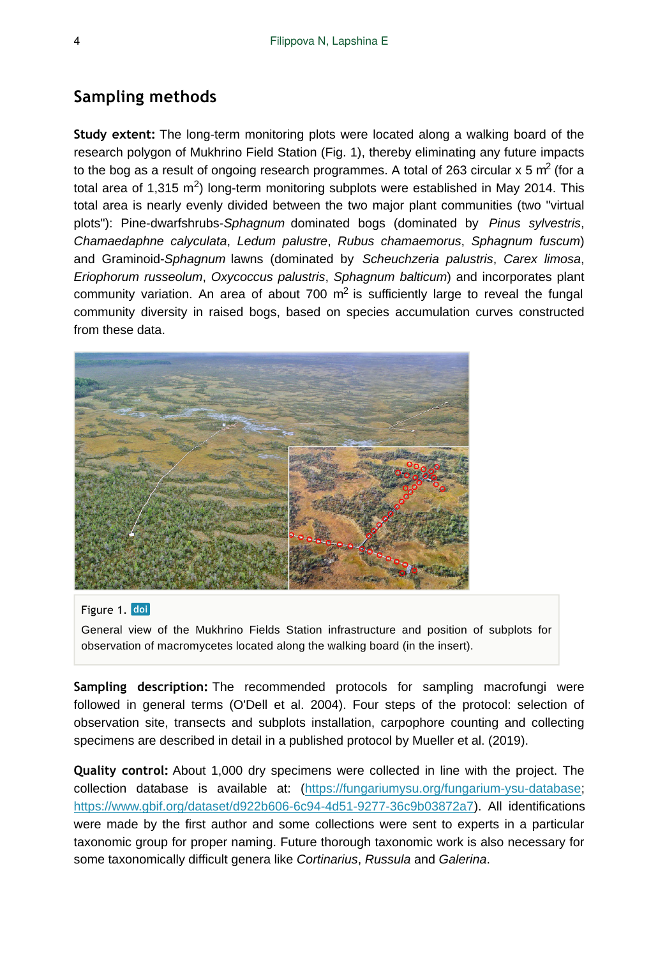# **Sampling methods**

**Study extent:** The long-term monitoring plots were located along a walking board of the research polygon of Mukhrino Field Station (Fig. 1), thereby eliminating any future impacts to the bog as a result of ongoing research programmes. A total of 263 circular x 5 m<sup>2</sup> (for a total area of 1,315 m<sup>2</sup>) long-term monitoring subplots were established in May 2014. This total area is nearly evenly divided between the two major plant communities (two "virtual plots"): Pine-dwarfshrubs-*Sphagnum* dominated bogs (dominated by *Pinus sylvestris*, *Chamaedaphne calyculata*, *Ledum palustre*, *Rubus chamaemorus*, *Sphagnum fuscum*) and Graminoid-*Sphagnum* lawns (dominated by *Scheuchzeria palustris*, *Carex limosa*, *Eriophorum russeolum*, *Oxycoccus palustris*, *Sphagnum balticum*) and incorporates plant community variation. An area of about 700  $m<sup>2</sup>$  is sufficiently large to reveal the fungal community diversity in raised bogs, based on species accumulation curves constructed from these data.



#### Figure 1. doi

General view of the Mukhrino Fields Station infrastructure and position of subplots for observation of macromycetes located along the walking board (in the insert).

**Sampling description:** The recommended protocols for sampling macrofungi were followed in general terms (O'Dell et al. 2004). Four steps of the protocol: selection of observation site, transects and subplots installation, carpophore counting and collecting specimens are described in detail in a published protocol by Mueller et al. (2019).

**Quality control:** About 1,000 dry specimens were collected in line with the project. The collection database is available at: ([https://fungariumysu.org/fungarium-ysu-database;](https://fungariumysu.org/fungarium-ysu-database) [https://www.gbif.org/dataset/d922b606-6c94-4d51-9277-36c9b03872a7\)](https://www.gbif.org/dataset/d922b606-6c94-4d51-9277-36c9b03872a7). All identifications were made by the first author and some collections were sent to experts in a particular taxonomic group for proper naming. Future thorough taxonomic work is also necessary for some taxonomically difficult genera like *Cortinarius*, *Russula* and *Galerina*.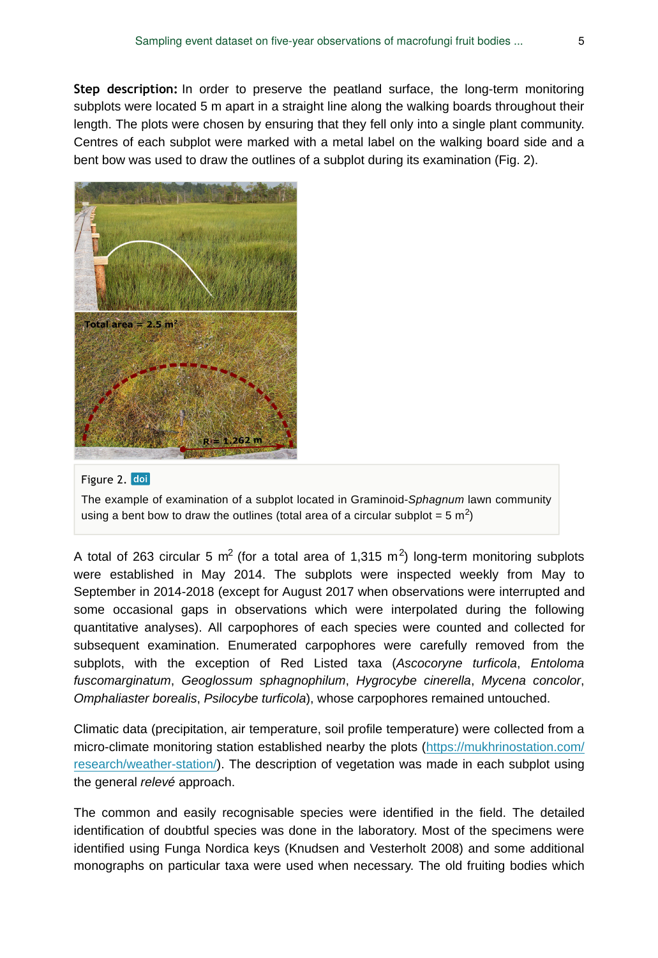**Step description:** In order to preserve the peatland surface, the long-term monitoring subplots were located 5 m apart in a straight line along the walking boards throughout their length. The plots were chosen by ensuring that they fell only into a single plant community. Centres of each subplot were marked with a metal label on the walking board side and a bent bow was used to draw the outlines of a subplot during its examination (Fig. 2).



#### Figure 2. doi

The example of examination of a subplot located in Graminoid-*Sphagnum* lawn community using a bent bow to draw the outlines (total area of a circular subplot = 5  $\text{m}^2$ )

A total of 263 circular 5 m<sup>2</sup> (for a total area of 1,315 m<sup>2</sup>) long-term monitoring subplots were established in May 2014. The subplots were inspected weekly from May to September in 2014-2018 (except for August 2017 when observations were interrupted and some occasional gaps in observations which were interpolated during the following quantitative analyses). All carpophores of each species were counted and collected for subsequent examination. Enumerated carpophores were carefully removed from the subplots, with the exception of Red Listed taxa (*Ascocoryne turficola*, *Entoloma fuscomarginatum*, *Geoglossum sphagnophilum*, *Hygrocybe cinerella*, *Mycena concolor*, *Omphaliaster borealis*, *Psilocybe turficola*), whose carpophores remained untouched.

Climatic data (precipitation, air temperature, soil profile temperature) were collected from a micro-climate monitoring station established nearby the plots ([https://mukhrinostation.com/](https://mukhrinostation.com/research/weather-station/) [research/weather-station/\)](https://mukhrinostation.com/research/weather-station/). The description of vegetation was made in each subplot using the general *relevé* approach.

The common and easily recognisable species were identified in the field. The detailed identification of doubtful species was done in the laboratory. Most of the specimens were identified using Funga Nordica keys (Knudsen and Vesterholt 2008) and some additional monographs on particular taxa were used when necessary. The old fruiting bodies which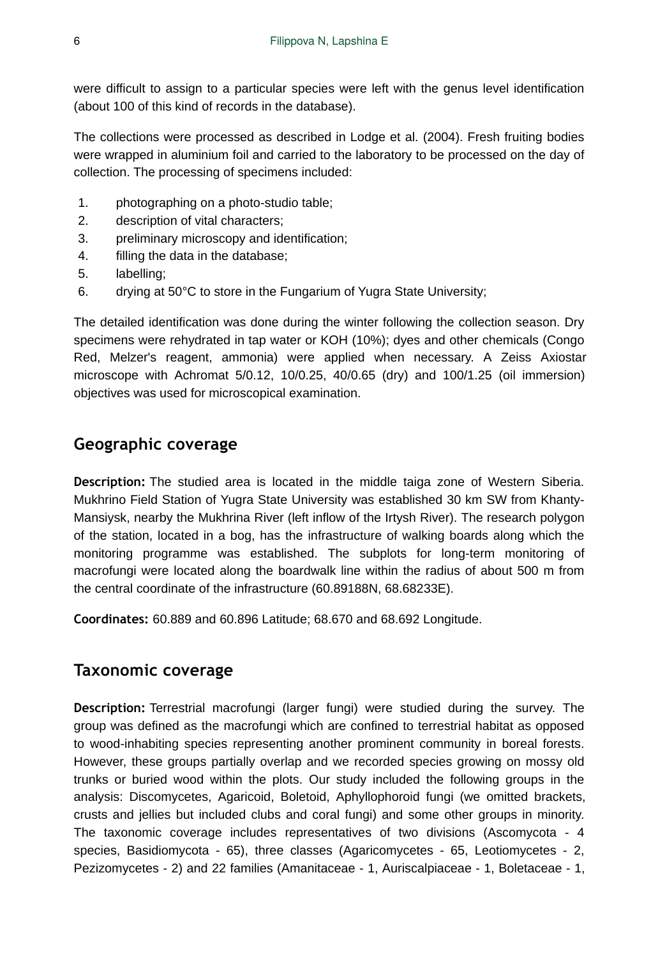were difficult to assign to a particular species were left with the genus level identification (about 100 of this kind of records in the database).

The collections were processed as described in Lodge et al. (2004). Fresh fruiting bodies were wrapped in aluminium foil and carried to the laboratory to be processed on the day of collection. The processing of specimens included:

- 1. photographing on a photo-studio table;
- 2. description of vital characters;
- 3. preliminary microscopy and identification;
- 4. filling the data in the database;
- 5. labelling;
- 6. drying at 50°C to store in the Fungarium of Yugra State University;

The detailed identification was done during the winter following the collection season. Dry specimens were rehydrated in tap water or KOH (10%); dyes and other chemicals (Congo Red, Melzer's reagent, ammonia) were applied when necessary. A Zeiss Axiostar microscope with Achromat 5/0.12, 10/0.25, 40/0.65 (dry) and 100/1.25 (oil immersion) objectives was used for microscopical examination.

# **Geographic coverage**

**Description:** The studied area is located in the middle taiga zone of Western Siberia. Mukhrino Field Station of Yugra State University was established 30 km SW from Khanty-Mansiysk, nearby the Mukhrina River (left inflow of the Irtysh River). The research polygon of the station, located in a bog, has the infrastructure of walking boards along which the monitoring programme was established. The subplots for long-term monitoring of macrofungi were located along the boardwalk line within the radius of about 500 m from the central coordinate of the infrastructure (60.89188N, 68.68233E).

**Coordinates:** 60.889 and 60.896 Latitude; 68.670 and 68.692 Longitude.

# **Taxonomic coverage**

**Description:** Terrestrial macrofungi (larger fungi) were studied during the survey. The group was defined as the macrofungi which are confined to terrestrial habitat as opposed to wood-inhabiting species representing another prominent community in boreal forests. However, these groups partially overlap and we recorded species growing on mossy old trunks or buried wood within the plots. Our study included the following groups in the analysis: Discomycetes, Agaricoid, Boletoid, Aphyllophoroid fungi (we omitted brackets, crusts and jellies but included clubs and coral fungi) and some other groups in minority. The taxonomic coverage includes representatives of two divisions (Ascomycota - 4 species, Basidiomycota - 65), three classes (Agaricomycetes - 65, Leotiomycetes - 2, Pezizomycetes - 2) and 22 families (Amanitaceae - 1, Auriscalpiaceae - 1, Boletaceae - 1,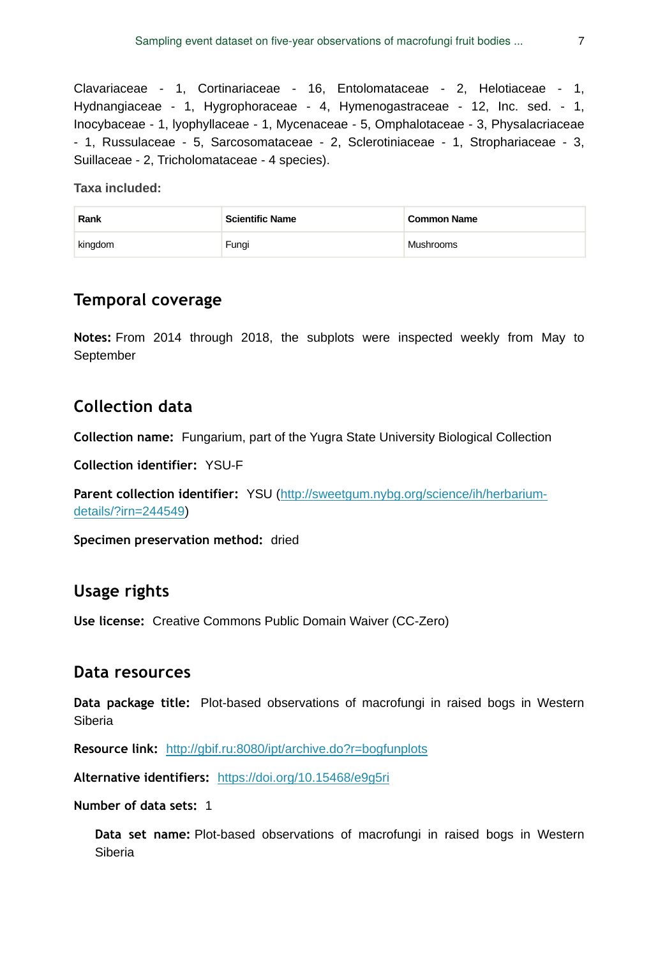Clavariaceae - 1, Cortinariaceae - 16, Entolomataceae - 2, Helotiaceae - 1, Hydnangiaceae - 1, Hygrophoraceae - 4, Hymenogastraceae - 12, Inc. sed. - 1, Inocybaceae - 1, lyophyllaceae - 1, Mycenaceae - 5, Omphalotaceae - 3, Physalacriaceae - 1, Russulaceae - 5, Sarcosomataceae - 2, Sclerotiniaceae - 1, Strophariaceae - 3, Suillaceae - 2, Tricholomataceae - 4 species).

**Taxa included:**

| Rank    | <b>Scientific Name</b> | <b>Common Name</b> |
|---------|------------------------|--------------------|
| kingdom | Fungi                  | Mushrooms          |

## **Temporal coverage**

**Notes:** From 2014 through 2018, the subplots were inspected weekly from May to September

## **Collection data**

**Collection name:** Fungarium, part of the Yugra State University Biological Collection

**Collection identifier:** YSU-F

**Parent collection identifier:** YSU [\(http://sweetgum.nybg.org/science/ih/herbarium](http://sweetgum.nybg.org/science/ih/herbarium-details/?irn=244549)[details/?irn=244549](http://sweetgum.nybg.org/science/ih/herbarium-details/?irn=244549))

**Specimen preservation method:** dried

#### **Usage rights**

**Use license:** Creative Commons Public Domain Waiver (CC-Zero)

#### **Data resources**

**Data package title:** Plot-based observations of macrofungi in raised bogs in Western Siberia

**Resource link:** [http://gbif.ru:8080/ipt/archive.do?r=bogfunplots](https://doi.org/10.15468/e9g5ri)

**Alternative identifiers:** [https://doi.org/10.15468/e9g5ri](http://gbif.ru:8080/ipt/archive.do?r=bogfunplots)

#### **Number of data sets:** 1

**Data set name:** Plot-based observations of macrofungi in raised bogs in Western Siberia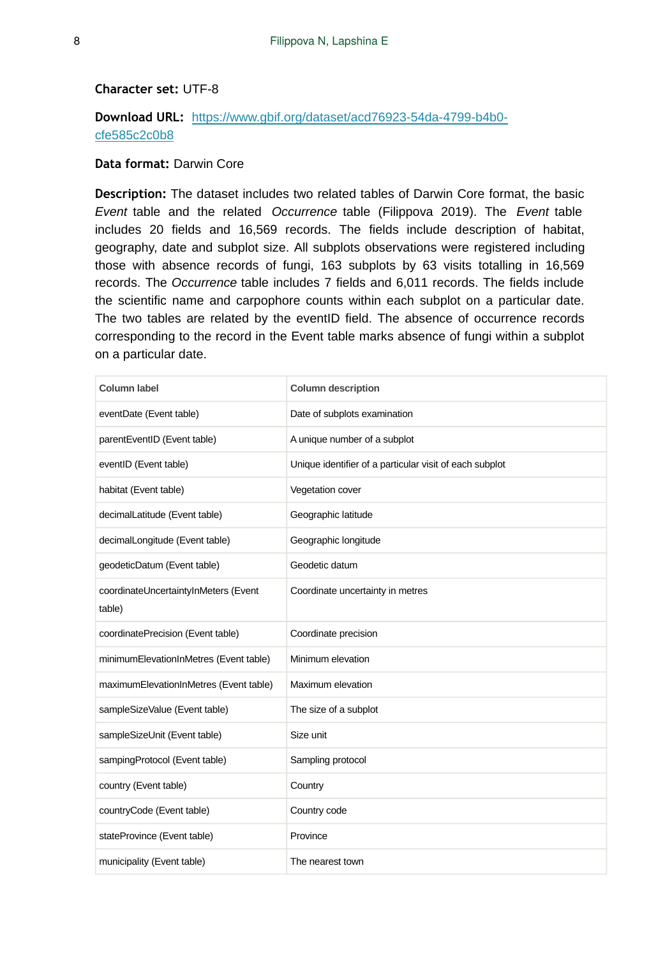#### **Character set:** UTF-8

#### **Download URL:** [https://www.gbif.org/dataset/acd76923-54da-4799-b4b0](https://www.gbif.org/dataset/acd76923-54da-4799-b4b0-cfe585c2c0b8) [cfe585c2c0b8](https://www.gbif.org/dataset/acd76923-54da-4799-b4b0-cfe585c2c0b8)

#### **Data format:** Darwin Core

**Description:** The dataset includes two related tables of Darwin Core format, the basic *Event* table and the related *Occurrence* table (Filippova 2019). The *Event* table includes 20 fields and 16,569 records. The fields include description of habitat, geography, date and subplot size. All subplots observations were registered including those with absence records of fungi, 163 subplots by 63 visits totalling in 16,569 records. The *Occurrence* table includes 7 fields and 6,011 records. The fields include the scientific name and carpophore counts within each subplot on a particular date. The two tables are related by the eventID field. The absence of occurrence records corresponding to the record in the Event table marks absence of fungi within a subplot on a particular date.

| <b>Column label</b>                            | <b>Column description</b>                               |
|------------------------------------------------|---------------------------------------------------------|
| eventDate (Event table)                        | Date of subplots examination                            |
| parentEventID (Event table)                    | A unique number of a subplot                            |
| eventID (Event table)                          | Unique identifier of a particular visit of each subplot |
| habitat (Event table)                          | Vegetation cover                                        |
| decimalLatitude (Event table)                  | Geographic latitude                                     |
| decimalLongitude (Event table)                 | Geographic longitude                                    |
| geodeticDatum (Event table)                    | Geodetic datum                                          |
| coordinateUncertaintyInMeters (Event<br>table) | Coordinate uncertainty in metres                        |
| coordinatePrecision (Event table)              | Coordinate precision                                    |
| minimumElevationInMetres (Event table)         | Minimum elevation                                       |
| maximumElevationInMetres (Event table)         | Maximum elevation                                       |
| sampleSizeValue (Event table)                  | The size of a subplot                                   |
| sampleSizeUnit (Event table)                   | Size unit                                               |
| sampingProtocol (Event table)                  | Sampling protocol                                       |
| country (Event table)                          | Country                                                 |
| countryCode (Event table)                      | Country code                                            |
| stateProvince (Event table)                    | Province                                                |
| municipality (Event table)                     | The nearest town                                        |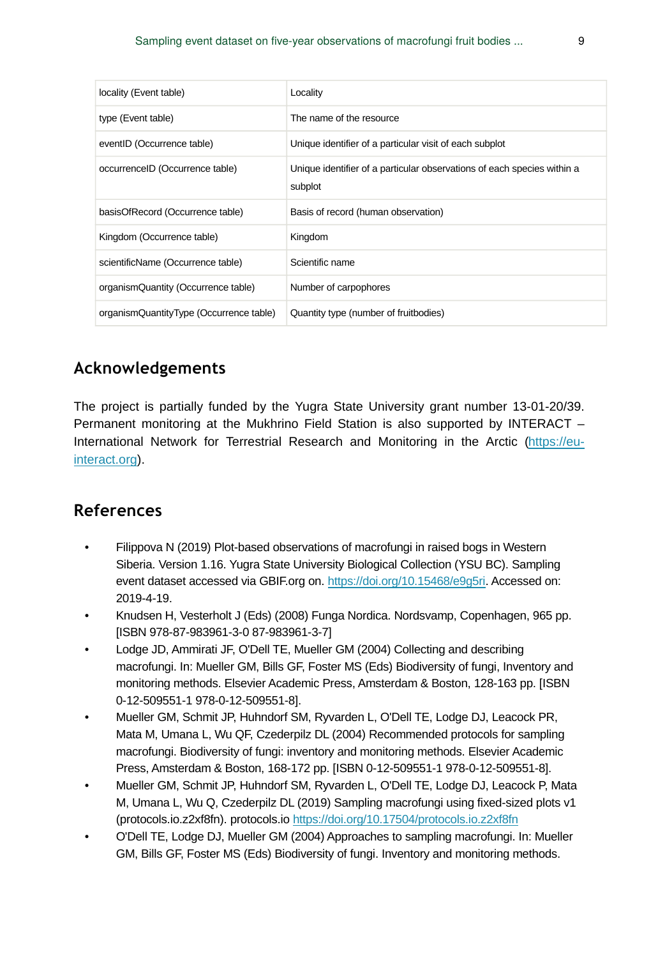| locality (Event table)                  | Locality                                                                           |
|-----------------------------------------|------------------------------------------------------------------------------------|
| type (Event table)                      | The name of the resource                                                           |
| eventID (Occurrence table)              | Unique identifier of a particular visit of each subplot                            |
| occurrenceID (Occurrence table)         | Unique identifier of a particular observations of each species within a<br>subplot |
| basisOfRecord (Occurrence table)        | Basis of record (human observation)                                                |
| Kingdom (Occurrence table)              | Kingdom                                                                            |
| scientificName (Occurrence table)       | Scientific name                                                                    |
| organism Quantity (Occurrence table)    | Number of carpophores                                                              |
| organismQuantityType (Occurrence table) | Quantity type (number of fruitbodies)                                              |

# **Acknowledgements**

The project is partially funded by the Yugra State University grant number 13-01-20/39. Permanent monitoring at the Mukhrino Field Station is also supported by INTERACT – International Network for Terrestrial Research and Monitoring in the Arctic [\(https://eu](https://eu-interact.org)[interact.org](https://eu-interact.org)).

## **References**

- Filippova N (2019) Plot-based observations of macrofungi in raised bogs in Western Siberia. Version 1.16. Yugra State University Biological Collection (YSU BC). Sampling event dataset accessed via GBIF.org on. [https://doi.org/10.15468/e9g5ri.](https://doi.org/10.15468/e9g5ri) Accessed on: 2019-4-19.
- Knudsen H, Vesterholt J (Eds) (2008) Funga Nordica. Nordsvamp, Copenhagen, 965 pp. [ISBN 978-87-983961-3-0 87-983961-3-7]
- Lodge JD, Ammirati JF, O'Dell TE, Mueller GM (2004) Collecting and describing macrofungi. In: Mueller GM, Bills GF, Foster MS (Eds) Biodiversity of fungi, Inventory and monitoring methods. Elsevier Academic Press, Amsterdam & Boston, 128-163 pp. [ISBN 0-12-509551-1 978-0-12-509551-8].
- Mueller GM, Schmit JP, Huhndorf SM, Ryvarden L, O'Dell TE, Lodge DJ, Leacock PR, Mata M, Umana L, Wu QF, Czederpilz DL (2004) Recommended protocols for sampling macrofungi. Biodiversity of fungi: inventory and monitoring methods. Elsevier Academic Press, Amsterdam & Boston, 168-172 pp. [ISBN 0-12-509551-1 978-0-12-509551-8].
- Mueller GM, Schmit JP, Huhndorf SM, Ryvarden L, O'Dell TE, Lodge DJ, Leacock P, Mata M, Umana L, Wu Q, Czederpilz DL (2019) Sampling macrofungi using fixed-sized plots v1 (protocols.io.z2xf8fn). protocols.io<https://doi.org/10.17504/protocols.io.z2xf8fn>
- O'Dell TE, Lodge DJ, Mueller GM (2004) Approaches to sampling macrofungi. In: Mueller GM, Bills GF, Foster MS (Eds) Biodiversity of fungi. Inventory and monitoring methods.